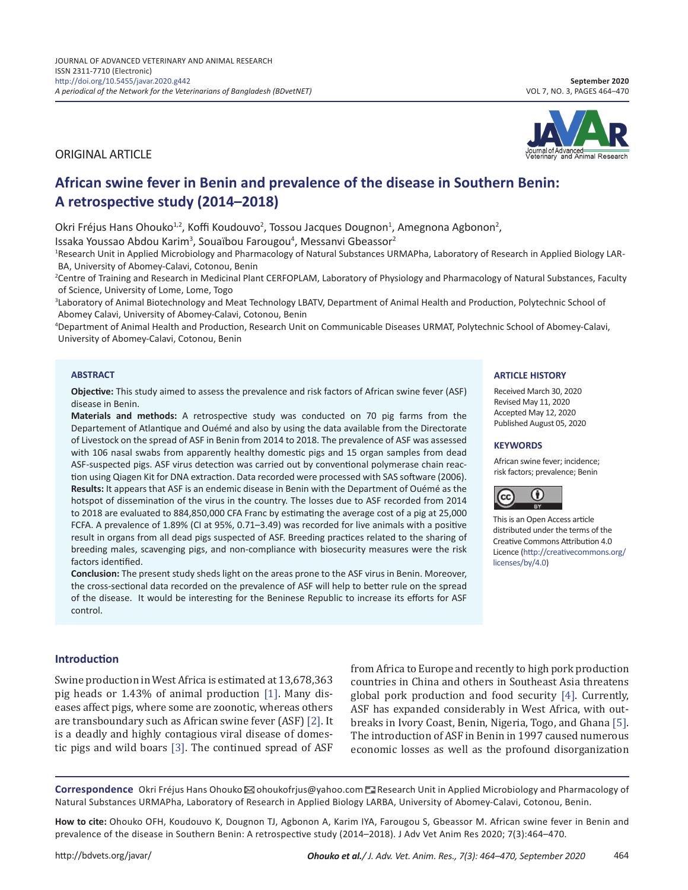ORIGINAL ARTICLE

# **African swine fever in Benin and prevalence of the disease in Southern Benin: A retrospective study (2014–2018)**

Okri Fréjus Hans Ohouko<sup>1,2</sup>, Koffi Koudouvo<sup>2</sup>, Tossou Jacques Dougnon<sup>1</sup>, Amegnona Agbonon<sup>2</sup>,

Issaka Youssao Abdou Karim<sup>3</sup>, Souaïbou Farougou<sup>4</sup>, Messanvi Gbeassor<sup>2</sup>

<sup>1</sup>Research Unit in Applied Microbiology and Pharmacology of Natural Substances URMAPha, Laboratory of Research in Applied Biology LAR-BA, University of Abomey-Calavi, Cotonou, Benin

2 Centre of Training and Research in Medicinal Plant CERFOPLAM, Laboratory of Physiology and Pharmacology of Natural Substances, Faculty of Science, University of Lome, Lome, Togo

<sup>3</sup>Laboratory of Animal Biotechnology and Meat Technology LBATV, Department of Animal Health and Production, Polytechnic School of Abomey Calavi, University of Abomey-Calavi, Cotonou, Benin

4 Department of Animal Health and Production, Research Unit on Communicable Diseases URMAT, Polytechnic School of Abomey-Calavi, University of Abomey-Calavi, Cotonou, Benin

#### **ABSTRACT**

**Objective:** This study aimed to assess the prevalence and risk factors of African swine fever (ASF) disease in Benin.

**Materials and methods:** A retrospective study was conducted on 70 pig farms from the Departement of Atlantique and Ouémé and also by using the data available from the Directorate of Livestock on the spread of ASF in Benin from 2014 to 2018. The prevalence of ASF was assessed with 106 nasal swabs from apparently healthy domestic pigs and 15 organ samples from dead ASF-suspected pigs. ASF virus detection was carried out by conventional polymerase chain reaction using Qiagen Kit for DNA extraction. Data recorded were processed with SAS software (2006). **Results:** It appears that ASF is an endemic disease in Benin with the Department of Ouémé as the hotspot of dissemination of the virus in the country. The losses due to ASF recorded from 2014 to 2018 are evaluated to 884,850,000 CFA Franc by estimating the average cost of a pig at 25,000 FCFA. A prevalence of 1.89% (CI at 95%, 0.71–3.49) was recorded for live animals with a positive result in organs from all dead pigs suspected of ASF. Breeding practices related to the sharing of breeding males, scavenging pigs, and non-compliance with biosecurity measures were the risk factors identified.

**Conclusion:** The present study sheds light on the areas prone to the ASF virus in Benin. Moreover, the cross-sectional data recorded on the prevalence of ASF will help to better rule on the spread of the disease. It would be interesting for the Beninese Republic to increase its efforts for ASF control.

#### **Introduction**

Swine production in West Africa is estimated at 13,678,363 pig heads or 1.43% of animal production [\[1\].](#page-6-0) Many diseases affect pigs, where some are zoonotic, whereas others are transboundary such as African swine fever (ASF) [\[2\].](#page-6-0) It is a deadly and highly contagious viral disease of domestic pigs and wild boars [\[3\].](#page-6-0) The continued spread of ASF from Africa to Europe and recently to high pork production countries in China and others in Southeast Asia threatens global pork production and food security [\[4\]](#page-6-0). Currently, ASF has expanded considerably in West Africa, with outbreaks in Ivory Coast, Benin, Nigeria, Togo, and Ghana [\[5\].](#page-6-0) The introduction of ASF in Benin in 1997 caused numerous economic losses as well as the profound disorganization

Correspondence Okri Fréjus Hans Ohouko⊠ ohoukofrjus@yahoo.com **E** Research Unit in Applied Microbiology and Pharmacology of Natural Substances URMAPha, Laboratory of Research in Applied Biology LARBA, University of Abomey-Calavi, Cotonou, Benin.

**How to cite:** Ohouko OFH, Koudouvo K, Dougnon TJ, Agbonon A, Karim IYA, Farougou S, Gbeassor M. African swine fever in Benin and prevalence of the disease in Southern Benin: A retrospective study (2014–2018). J Adv Vet Anim Res 2020; 7(3):464–470.





**ARTICLE HISTORY** Received March 30, 2020 Revised May 11, 2020 Accepted May 12, 2020 Published August 05, 2020

**KEYWORDS**

CC

[licenses/by/4.0](http://creativecommons.org/licenses/by/4.0))

African swine fever; incidence; risk factors; prevalence; Benin

This is an Open Access article distributed under the terms of the Creative Commons Attribution 4.0 Licence [\(http://creativecommons.org/](http://creativecommons.org/licenses/by/4.0)

O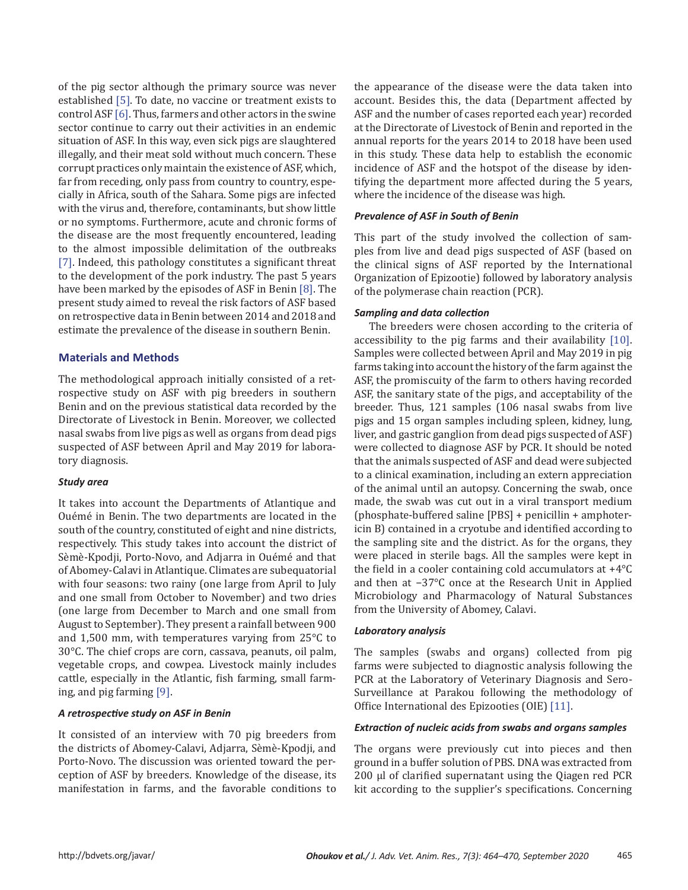of the pig sector although the primary source was never established [\[5\]](#page-6-0). To date, no vaccine or treatment exists to control ASF [\[6\].](#page-6-0) Thus, farmers and other actors in the swine sector continue to carry out their activities in an endemic situation of ASF. In this way, even sick pigs are slaughtered illegally, and their meat sold without much concern. These corrupt practices only maintain the existence of ASF, which, far from receding, only pass from country to country, especially in Africa, south of the Sahara. Some pigs are infected with the virus and, therefore, contaminants, but show little or no symptoms. Furthermore, acute and chronic forms of the disease are the most frequently encountered, leading to the almost impossible delimitation of the outbreaks [\[7\]](#page-6-0). Indeed, this pathology constitutes a significant threat to the development of the pork industry. The past 5 years have been marked by the episodes of ASF in Benin [\[8\]](#page-6-0). The present study aimed to reveal the risk factors of ASF based on retrospective data in Benin between 2014 and 2018 and estimate the prevalence of the disease in southern Benin.

# **Materials and Methods**

The methodological approach initially consisted of a retrospective study on ASF with pig breeders in southern Benin and on the previous statistical data recorded by the Directorate of Livestock in Benin. Moreover, we collected nasal swabs from live pigs as well as organs from dead pigs suspected of ASF between April and May 2019 for laboratory diagnosis.

## *Study area*

It takes into account the Departments of Atlantique and Ouémé in Benin. The two departments are located in the south of the country, constituted of eight and nine districts, respectively. This study takes into account the district of Sèmè-Kpodji, Porto-Novo, and Adjarra in Ouémé and that of Abomey-Calavi in Atlantique. Climates are subequatorial with four seasons: two rainy (one large from April to July and one small from October to November) and two dries (one large from December to March and one small from August to September). They present a rainfall between 900 and 1,500 mm, with temperatures varying from 25°C to 30°C. The chief crops are corn, cassava, peanuts, oil palm, vegetable crops, and cowpea. Livestock mainly includes cattle, especially in the Atlantic, fish farming, small farming, and pig farming [\[9\].](#page-6-0)

## *A retrospective study on ASF in Benin*

It consisted of an interview with 70 pig breeders from the districts of Abomey-Calavi, Adjarra, Sèmè-Kpodji, and Porto-Novo. The discussion was oriented toward the perception of ASF by breeders. Knowledge of the disease, its manifestation in farms, and the favorable conditions to the appearance of the disease were the data taken into account. Besides this, the data (Department affected by ASF and the number of cases reported each year) recorded at the Directorate of Livestock of Benin and reported in the annual reports for the years 2014 to 2018 have been used in this study. These data help to establish the economic incidence of ASF and the hotspot of the disease by identifying the department more affected during the 5 years, where the incidence of the disease was high.

# *Prevalence of ASF in South of Benin*

This part of the study involved the collection of samples from live and dead pigs suspected of ASF (based on the clinical signs of ASF reported by the International Organization of Epizootie) followed by laboratory analysis of the polymerase chain reaction (PCR).

## *Sampling and data collection*

The breeders were chosen according to the criteria of accessibility to the pig farms and their availability [\[10\].](#page-6-0) Samples were collected between April and May 2019 in pig farms taking into account the history of the farm against the ASF, the promiscuity of the farm to others having recorded ASF, the sanitary state of the pigs, and acceptability of the breeder. Thus, 121 samples (106 nasal swabs from live pigs and 15 organ samples including spleen, kidney, lung, liver, and gastric ganglion from dead pigs suspected of ASF) were collected to diagnose ASF by PCR. It should be noted that the animals suspected of ASF and dead were subjected to a clinical examination, including an extern appreciation of the animal until an autopsy. Concerning the swab, once made, the swab was cut out in a viral transport medium (phosphate-buffered saline [PBS] + penicillin + amphotericin B) contained in a cryotube and identified according to the sampling site and the district. As for the organs, they were placed in sterile bags. All the samples were kept in the field in a cooler containing cold accumulators at +4°C and then at −37°C once at the Research Unit in Applied Microbiology and Pharmacology of Natural Substances from the University of Abomey, Calavi.

## *Laboratory analysis*

The samples (swabs and organs) collected from pig farms were subjected to diagnostic analysis following the PCR at the Laboratory of Veterinary Diagnosis and Sero-Surveillance at Parakou following the methodology of Office International des Epizooties (OIE) [\[11\].](#page-6-0)

## *Extraction of nucleic acids from swabs and organs samples*

The organs were previously cut into pieces and then ground in a buffer solution of PBS. DNA was extracted from 200 μl of clarified supernatant using the Qiagen red PCR kit according to the supplier's specifications. Concerning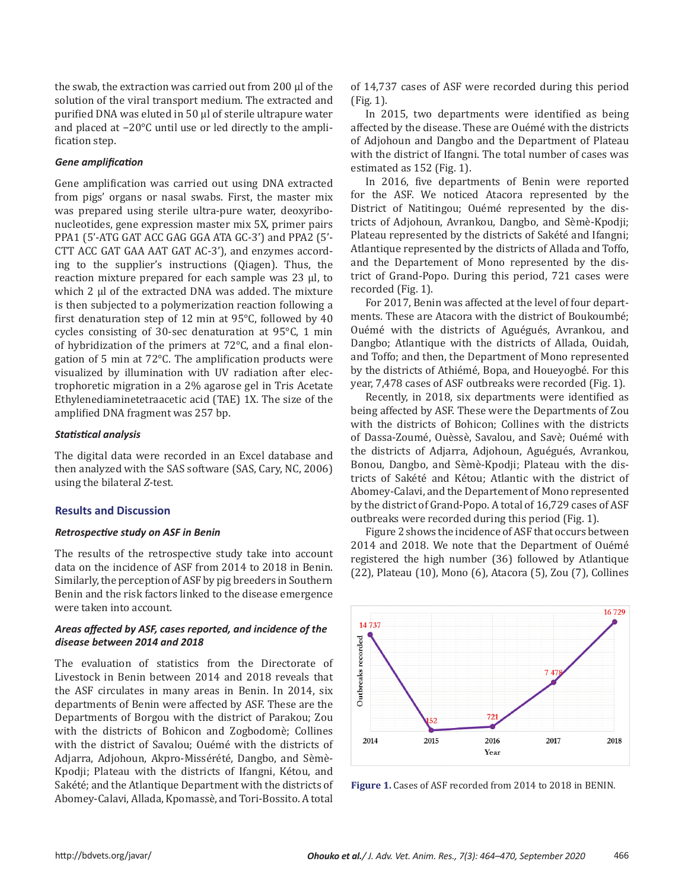the swab, the extraction was carried out from 200 μl of the solution of the viral transport medium. The extracted and purified DNA was eluted in 50 μl of sterile ultrapure water and placed at −20°C until use or led directly to the amplification step.

## *Gene amplification*

Gene amplification was carried out using DNA extracted from pigs' organs or nasal swabs. First, the master mix was prepared using sterile ultra-pure water, deoxyribonucleotides, gene expression master mix 5X, primer pairs PPA1 (5'-ATG GAT ACC GAG GGA ATA GC-3') and PPA2 (5'- CTT ACC GAT GAA AAT GAT AC-3'), and enzymes according to the supplier's instructions (Qiagen). Thus, the reaction mixture prepared for each sample was 23 μl, to which 2 μl of the extracted DNA was added. The mixture is then subjected to a polymerization reaction following a first denaturation step of 12 min at 95°C, followed by 40 cycles consisting of 30-sec denaturation at 95°C, 1 min of hybridization of the primers at 72°C, and a final elongation of 5 min at 72°C. The amplification products were visualized by illumination with UV radiation after electrophoretic migration in a 2% agarose gel in Tris Acetate Ethylenediaminetetraacetic acid (TAE) 1X. The size of the amplified DNA fragment was 257 bp.

## *Statistical analysis*

The digital data were recorded in an Excel database and then analyzed with the SAS software (SAS, Cary, NC, 2006) using the bilateral *Z*-test.

## **Results and Discussion**

#### *Retrospective study on ASF in Benin*

The results of the retrospective study take into account data on the incidence of ASF from 2014 to 2018 in Benin. Similarly, the perception of ASF by pig breeders in Southern Benin and the risk factors linked to the disease emergence were taken into account.

# *Areas affected by ASF, cases reported, and incidence of the disease between 2014 and 2018*

The evaluation of statistics from the Directorate of Livestock in Benin between 2014 and 2018 reveals that the ASF circulates in many areas in Benin. In 2014, six departments of Benin were affected by ASF. These are the Departments of Borgou with the district of Parakou; Zou with the districts of Bohicon and Zogbodomè; Collines with the district of Savalou; Ouémé with the districts of Adjarra, Adjohoun, Akpro-Missérété, Dangbo, and Sèmè-Kpodji; Plateau with the districts of Ifangni, Kétou, and Sakété; and the Atlantique Department with the districts of Abomey-Calavi, Allada, Kpomassè, and Tori-Bossito. A total of 14,737 cases of ASF were recorded during this period (Fig. 1).

In 2015, two departments were identified as being affected by the disease. These are Ouémé with the districts of Adjohoun and Dangbo and the Department of Plateau with the district of Ifangni. The total number of cases was estimated as 152 (Fig. 1).

In 2016, five departments of Benin were reported for the ASF. We noticed Atacora represented by the District of Natitingou; Ouémé represented by the districts of Adjohoun, Avrankou, Dangbo, and Sèmè-Kpodji; Plateau represented by the districts of Sakété and Ifangni; Atlantique represented by the districts of Allada and Toffo, and the Departement of Mono represented by the district of Grand-Popo. During this period, 721 cases were recorded (Fig. 1).

For 2017, Benin was affected at the level of four departments. These are Atacora with the district of Boukoumbé; Ouémé with the districts of Aguégués, Avrankou, and Dangbo; Atlantique with the districts of Allada, Ouidah, and Toffo; and then, the Department of Mono represented by the districts of Athiémé, Bopa, and Houeyogbé. For this year, 7,478 cases of ASF outbreaks were recorded (Fig. 1).

Recently, in 2018, six departments were identified as being affected by ASF. These were the Departments of Zou with the districts of Bohicon; Collines with the districts of Dassa-Zoumé, Ouèssè, Savalou, and Savè; Ouémé with the districts of Adjarra, Adjohoun, Aguégués, Avrankou, Bonou, Dangbo, and Sèmè-Kpodji; Plateau with the districts of Sakété and Kétou; Atlantic with the district of Abomey-Calavi, and the Departement of Mono represented by the district of Grand-Popo. A total of 16,729 cases of ASF outbreaks were recorded during this period (Fig. 1).

Figure 2 shows the incidence of ASF that occurs between 2014 and 2018. We note that the Department of Ouémé registered the high number (36) followed by Atlantique (22), Plateau (10), Mono (6), Atacora (5), Zou (7), Collines



**Figure 1.** Cases of ASF recorded from 2014 to 2018 in BENIN.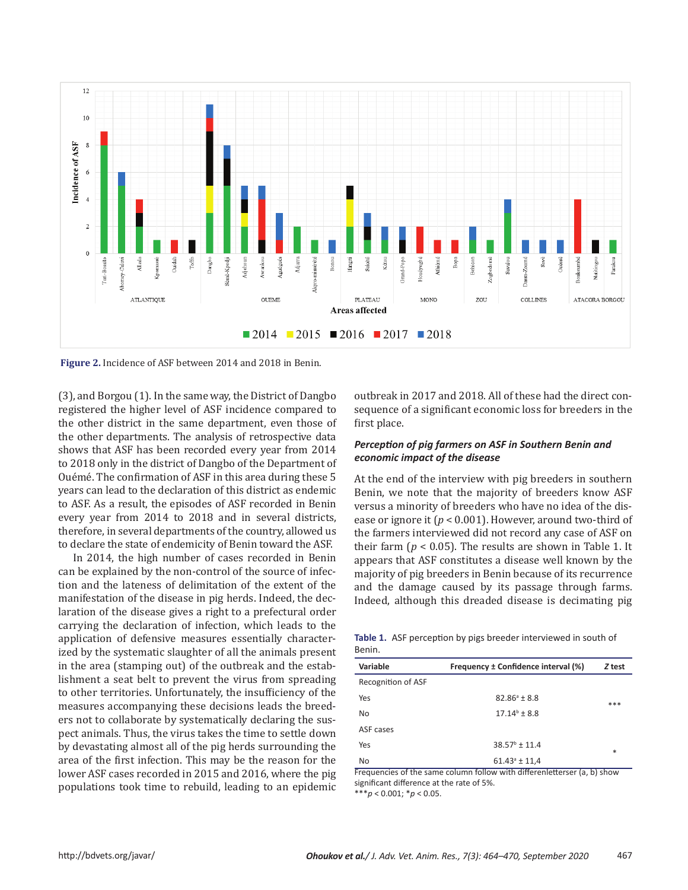

**Figure 2.** Incidence of ASF between 2014 and 2018 in Benin.

(3), and Borgou (1). In the same way, the District of Dangbo registered the higher level of ASF incidence compared to the other district in the same department, even those of the other departments. The analysis of retrospective data shows that ASF has been recorded every year from 2014 to 2018 only in the district of Dangbo of the Department of Ouémé. The confirmation of ASF in this area during these 5 years can lead to the declaration of this district as endemic to ASF. As a result, the episodes of ASF recorded in Benin every year from 2014 to 2018 and in several districts, therefore, in several departments of the country, allowed us to declare the state of endemicity of Benin toward the ASF.

In 2014, the high number of cases recorded in Benin can be explained by the non-control of the source of infection and the lateness of delimitation of the extent of the manifestation of the disease in pig herds. Indeed, the declaration of the disease gives a right to a prefectural order carrying the declaration of infection, which leads to the application of defensive measures essentially characterized by the systematic slaughter of all the animals present in the area (stamping out) of the outbreak and the establishment a seat belt to prevent the virus from spreading to other territories. Unfortunately, the insufficiency of the measures accompanying these decisions leads the breeders not to collaborate by systematically declaring the suspect animals. Thus, the virus takes the time to settle down by devastating almost all of the pig herds surrounding the area of the first infection. This may be the reason for the lower ASF cases recorded in 2015 and 2016, where the pig populations took time to rebuild, leading to an epidemic outbreak in 2017 and 2018. All of these had the direct consequence of a significant economic loss for breeders in the first place.

# *Perception of pig farmers on ASF in Southern Benin and economic impact of the disease*

At the end of the interview with pig breeders in southern Benin, we note that the majority of breeders know ASF versus a minority of breeders who have no idea of the disease or ignore it (*p* < 0.001). However, around two-third of the farmers interviewed did not record any case of ASF on their farm ( $p < 0.05$ ). The results are shown in Table 1. It appears that ASF constitutes a disease well known by the majority of pig breeders in Benin because of its recurrence and the damage caused by its passage through farms. Indeed, although this dreaded disease is decimating pig

|        | <b>Table 1.</b> ASF perception by pigs breeder interviewed in south of |  |  |  |
|--------|------------------------------------------------------------------------|--|--|--|
| Benin. |                                                                        |  |  |  |

| Variable           | Frequency ± Confidence interval (%) | Z test |
|--------------------|-------------------------------------|--------|
| Recognition of ASF |                                     |        |
| Yes                | $82.86^{\circ}$ ± 8.8               | ***    |
| <b>No</b>          | $17.14^{\circ}$ ± 8.8               |        |
| ASF cases          |                                     |        |
| Yes                | $38.57^{\circ}$ ± 11.4              | $*$    |
| No                 | $61.43^{\circ}$ ± 11,4              |        |

Frequencies of the same column follow with differenletterser (a, b) show significant difference at the rate of 5%.

\*\*\**p* < 0.001; \**p* < 0.05.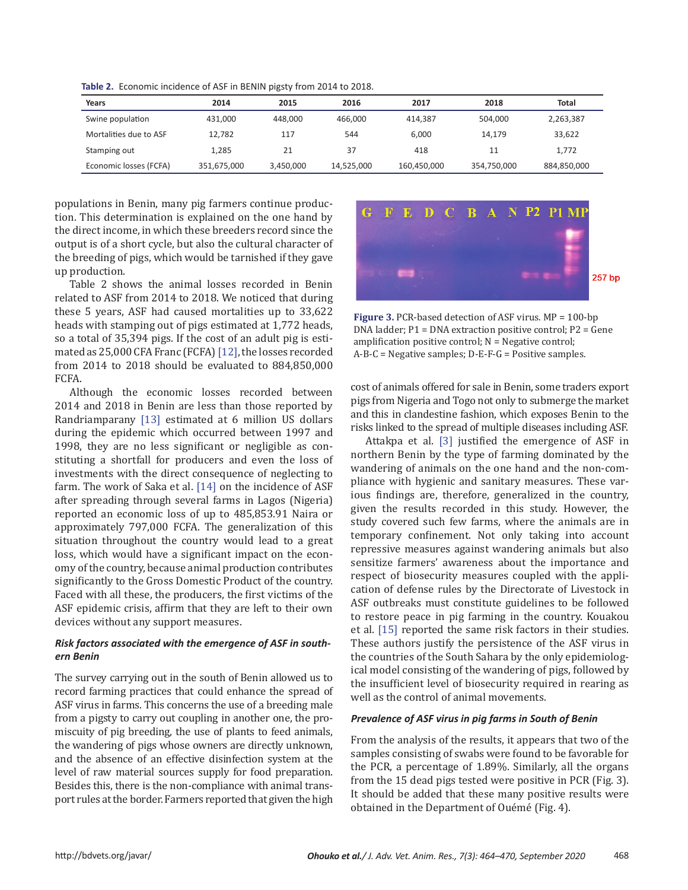| Years                  | 2014        | 2015      | 2016       | 2017        | 2018        | Total       |
|------------------------|-------------|-----------|------------|-------------|-------------|-------------|
| Swine population       | 431.000     | 448,000   | 466.000    | 414.387     | 504.000     | 2,263,387   |
| Mortalities due to ASF | 12.782      | 117       | 544        | 6.000       | 14.179      | 33.622      |
| Stamping out           | 1.285       | 21        | 37         | 418         | 11          | 1,772       |
| Economic losses (FCFA) | 351,675,000 | 3,450,000 | 14,525,000 | 160,450,000 | 354,750,000 | 884,850,000 |

**Table 2.** Economic incidence of ASF in BENIN pigsty from 2014 to 2018.

populations in Benin, many pig farmers continue production. This determination is explained on the one hand by the direct income, in which these breeders record since the output is of a short cycle, but also the cultural character of the breeding of pigs, which would be tarnished if they gave up production.

Table 2 shows the animal losses recorded in Benin related to ASF from 2014 to 2018. We noticed that during these 5 years, ASF had caused mortalities up to 33,622 heads with stamping out of pigs estimated at 1,772 heads, so a total of 35,394 pigs. If the cost of an adult pig is estimated as 25,000 CFA Franc (FCFA) [\[12\],](#page-6-0) the losses recorded from 2014 to 2018 should be evaluated to 884,850,000 FCFA.

Although the economic losses recorded between 2014 and 2018 in Benin are less than those reported by Randriamparany [\[13\]](#page-6-0) estimated at 6 million US dollars during the epidemic which occurred between 1997 and 1998, they are no less significant or negligible as constituting a shortfall for producers and even the loss of investments with the direct consequence of neglecting to farm. The work of Saka et al. [\[14\]](#page-6-0) on the incidence of ASF after spreading through several farms in Lagos (Nigeria) reported an economic loss of up to 485,853.91 Naira or approximately 797,000 FCFA. The generalization of this situation throughout the country would lead to a great loss, which would have a significant impact on the economy of the country, because animal production contributes significantly to the Gross Domestic Product of the country. Faced with all these, the producers, the first victims of the ASF epidemic crisis, affirm that they are left to their own devices without any support measures.

## *Risk factors associated with the emergence of ASF in southern Benin*

The survey carrying out in the south of Benin allowed us to record farming practices that could enhance the spread of ASF virus in farms. This concerns the use of a breeding male from a pigsty to carry out coupling in another one, the promiscuity of pig breeding, the use of plants to feed animals, the wandering of pigs whose owners are directly unknown, and the absence of an effective disinfection system at the level of raw material sources supply for food preparation. Besides this, there is the non-compliance with animal transport rules at the border. Farmers reported that given the high



**Figure 3.** PCR-based detection of ASF virus. MP = 100-bp DNA ladder; P1 = DNA extraction positive control; P2 = Gene amplification positive control;  $N = Negative control;$ A-B-C = Negative samples; D-E-F-G = Positive samples.

cost of animals offered for sale in Benin, some traders export pigs from Nigeria and Togo not only to submerge the market and this in clandestine fashion, which exposes Benin to the risks linked to the spread of multiple diseases including ASF.

Attakpa et al. [\[3\]](#page-6-0) justified the emergence of ASF in northern Benin by the type of farming dominated by the wandering of animals on the one hand and the non-compliance with hygienic and sanitary measures. These various findings are, therefore, generalized in the country, given the results recorded in this study. However, the study covered such few farms, where the animals are in temporary confinement. Not only taking into account repressive measures against wandering animals but also sensitize farmers' awareness about the importance and respect of biosecurity measures coupled with the application of defense rules by the Directorate of Livestock in ASF outbreaks must constitute guidelines to be followed to restore peace in pig farming in the country. Kouakou et al. [\[15\]](#page-6-0) reported the same risk factors in their studies. These authors justify the persistence of the ASF virus in the countries of the South Sahara by the only epidemiological model consisting of the wandering of pigs, followed by the insufficient level of biosecurity required in rearing as well as the control of animal movements.

#### *Prevalence of ASF virus in pig farms in South of Benin*

From the analysis of the results, it appears that two of the samples consisting of swabs were found to be favorable for the PCR, a percentage of 1.89%. Similarly, all the organs from the 15 dead pigs tested were positive in PCR (Fig. 3). It should be added that these many positive results were obtained in the Department of Ouémé (Fig. 4).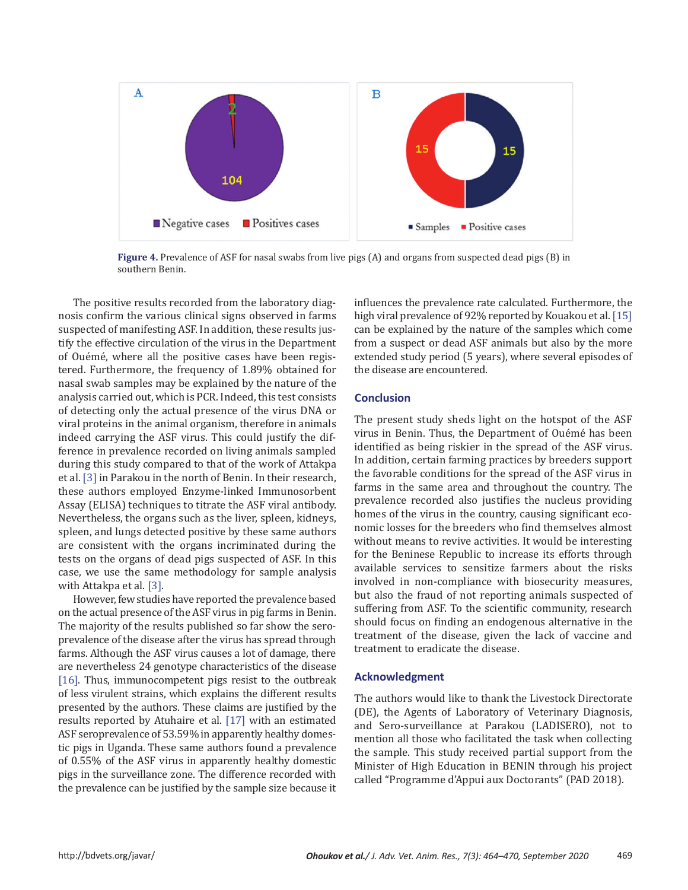

**Figure 4.** Prevalence of ASF for nasal swabs from live pigs (A) and organs from suspected dead pigs (B) in southern Benin.

The positive results recorded from the laboratory diagnosis confirm the various clinical signs observed in farms suspected of manifesting ASF. In addition, these results justify the effective circulation of the virus in the Department of Ouémé, where all the positive cases have been registered. Furthermore, the frequency of 1.89% obtained for nasal swab samples may be explained by the nature of the analysis carried out, which is PCR. Indeed, this test consists of detecting only the actual presence of the virus DNA or viral proteins in the animal organism, therefore in animals indeed carrying the ASF virus. This could justify the difference in prevalence recorded on living animals sampled during this study compared to that of the work of Attakpa et al. [\[3\]](#page-6-0) in Parakou in the north of Benin. In their research, these authors employed Enzyme-linked Immunosorbent Assay (ELISA) techniques to titrate the ASF viral antibody. Nevertheless, the organs such as the liver, spleen, kidneys, spleen, and lungs detected positive by these same authors are consistent with the organs incriminated during the tests on the organs of dead pigs suspected of ASF. In this case, we use the same methodology for sample analysis with Attakpa et al. [\[3\]](#page-6-0).

However, few studies have reported the prevalence based on the actual presence of the ASF virus in pig farms in Benin. The majority of the results published so far show the seroprevalence of the disease after the virus has spread through farms. Although the ASF virus causes a lot of damage, there are nevertheless 24 genotype characteristics of the disease [\[16\].](#page-6-0) Thus, immunocompetent pigs resist to the outbreak of less virulent strains, which explains the different results presented by the authors. These claims are justified by the results reported by Atuhaire et al. [\[17\]](#page-6-0) with an estimated ASF seroprevalence of 53.59% in apparently healthy domestic pigs in Uganda. These same authors found a prevalence of 0.55% of the ASF virus in apparently healthy domestic pigs in the surveillance zone. The difference recorded with the prevalence can be justified by the sample size because it influences the prevalence rate calculated. Furthermore, the high viral prevalence of 92% reported by Kouakou et al. [\[15\]](#page-6-0) can be explained by the nature of the samples which come from a suspect or dead ASF animals but also by the more extended study period (5 years), where several episodes of the disease are encountered.

# **Conclusion**

The present study sheds light on the hotspot of the ASF virus in Benin. Thus, the Department of Ouémé has been identified as being riskier in the spread of the ASF virus. In addition, certain farming practices by breeders support the favorable conditions for the spread of the ASF virus in farms in the same area and throughout the country. The prevalence recorded also justifies the nucleus providing homes of the virus in the country, causing significant economic losses for the breeders who find themselves almost without means to revive activities. It would be interesting for the Beninese Republic to increase its efforts through available services to sensitize farmers about the risks involved in non-compliance with biosecurity measures, but also the fraud of not reporting animals suspected of suffering from ASF. To the scientific community, research should focus on finding an endogenous alternative in the treatment of the disease, given the lack of vaccine and treatment to eradicate the disease.

## **Acknowledgment**

The authors would like to thank the Livestock Directorate (DE), the Agents of Laboratory of Veterinary Diagnosis, and Sero-surveillance at Parakou (LADISERO), not to mention all those who facilitated the task when collecting the sample. This study received partial support from the Minister of High Education in BENIN through his project called "Programme d'Appui aux Doctorants" (PAD 2018).